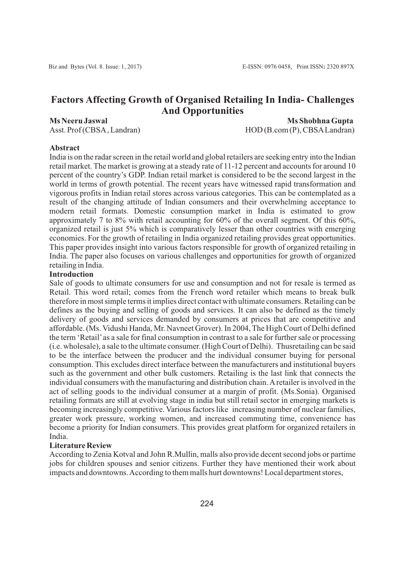# **Factors Affecting Growth of Organised Retailing In India- Challenges And Opportunities**

**Ms Neeru Jaswal Ms Shobhna Gupta**  Asst. Prof (CBSA, Landran) HOD (B.com (P), CBSA Landran)

## **Abstract**

India is on the radar screen in the retail world and global retailers are seeking entry into the Indian retail market. The market is growing at a steady rate of 11-12 percent and accounts for around 10 percent of the country's GDP. Indian retail market is considered to be the second largest in the world in terms of growth potential. The recent years have witnessed rapid transformation and vigorous profits in Indian retail stores across various categories. This can be contemplated as a result of the changing attitude of Indian consumers and their overwhelming acceptance to modern retail formats. Domestic consumption market in India is estimated to grow approximately 7 to 8% with retail accounting for  $60\%$  of the overall segment. Of this  $60\%$ , organized retail is just 5% which is comparatively lesser than other countries with emerging economies. For the growth of retailing in India organized retailing provides great opportunities. This paper provides insight into various factors responsible for growth of organized retailing in India. The paper also focuses on various challenges and opportunities for growth of organized retailing in India.

## **Introduction**

Sale of goods to ultimate consumers for use and consumption and not for resale is termed as Retail. This word retail; comes from the French word retailer which means to break bulk therefore in most simple terms it implies direct contact with ultimate consumers. Retailing can be defines as the buying and selling of goods and services. It can also be defined as the timely delivery of goods and services demanded by consumers at prices that are competitive and affordable. (Ms. Vidushi Handa, Mr. Navneet Grover). In 2004, The High Court of Delhi defined the term 'Retail'as a sale for final consumption in contrast to a sale for further sale or processing (i.e. wholesale), a sale to the ultimate consumer. (High Court of Delhi). Thusretailing can be said to be the interface between the producer and the individual consumer buying for personal consumption. This excludes direct interface between the manufacturers and institutional buyers such as the government and other bulk customers. Retailing is the last link that connects the individual consumers with the manufacturing and distribution chain. Aretailer is involved in the act of selling goods to the individual consumer at a margin of profit. (Ms.Sonia). Organised retailing formats are still at evolving stage in india but still retail sector in emerging markets is becoming increasingly competitive. Various factors like increasing number of nuclear families, greater work pressure, working women, and increased commuting time, convenience has become a priority for Indian consumers. This provides great platform for organized retailers in India.

#### **Literature Review**

According to Zenia Kotval and John R.Mullin, malls also provide decent second jobs or partime jobs for children spouses and senior citizens. Further they have mentioned their work about impacts and downtowns. According to them malls hurt downtowns! Local department stores,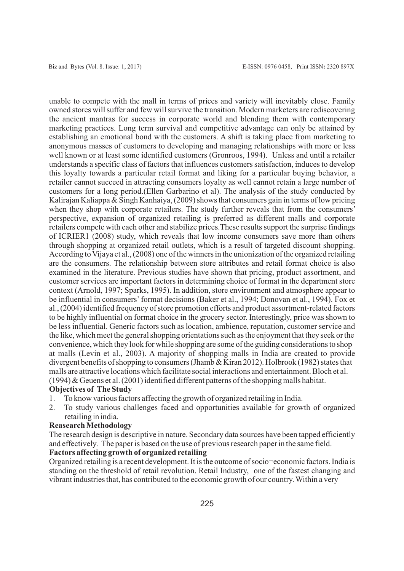unable to compete with the mall in terms of prices and variety will inevitably close. Family owned stores will suffer and few will survive the transition. Modern marketers are rediscovering the ancient mantras for success in corporate world and blending them with contemporary marketing practices. Long term survival and competitive advantage can only be attained by establishing an emotional bond with the customers. A shift is taking place from marketing to anonymous masses of customers to developing and managing relationships with more or less well known or at least some identified customers (Gronroos, 1994). Unless and until a retailer understands a specific class of factors that influences customers satisfaction, induces to develop this loyalty towards a particular retail format and liking for a particular buying behavior, a retailer cannot succeed in attracting consumers loyalty as well cannot retain a large number of customers for a long period.(Ellen Garbarino et al). The analysis of the study conducted by Kalirajan Kaliappa & Singh Kanhaiya, (2009) shows that consumers gain in terms of low pricing when they shop with corporate retailers. The study further reveals that from the consumers' perspective, expansion of organized retailing is preferred as different malls and corporate retailers compete with each other and stabilize prices.These results support the surprise findings of ICRIER1 (2008) study, which reveals that low income consumers save more than others through shopping at organized retail outlets, which is a result of targeted discount shopping. According to Vijaya et al., (2008) one of the winners in the unionization of the organized retailing are the consumers. The relationship between store attributes and retail format choice is also examined in the literature. Previous studies have shown that pricing, product assortment, and customer services are important factors in determining choice of format in the department store context (Arnold, 1997; Sparks, 1995). In addition, store environment and atmosphere appear to be influential in consumers'format decisions (Baker et al., 1994; Donovan et al., 1994). Fox et al., (2004) identified frequency of store promotion efforts and product assortment-related factors to be highly influential on format choice in the grocery sector. Interestingly, price was shown to be less influential. Generic factors such as location, ambience, reputation, customer service and the like, which meet the general shopping orientations such as the enjoyment that they seek or the convenience, which they look for while shopping are some of the guiding considerations to shop at malls (Levin et al., 2003). A majority of shopping malls in India are created to provide divergent benefits of shopping to consumers (Jhamb & Kiran 2012). Holbrook (1982) states that malls are attractive locations which facilitate social interactions and entertainment. Bloch et al. (1994) & Geuens et al. (2001) identified different patterns of the shopping malls habitat.

#### **Objectives of The Study**

- 1. To know various factors affecting the growth of organized retailing in India.
- 2. To study various challenges faced and opportunities available for growth of organized retailing in india.

#### **Reasearch Methodology**

The research design is descriptive in nature. Secondary data sources have been tapped efficiently and effectively. The paper is based on the use of previous research paper in the same field.

## **Factors affecting growth of organized retailing**

Organized retailing is a recent development. It is the outcome of socio¬economic factors. India is standing on the threshold of retail revolution. Retail Industry, one of the fastest changing and vibrant industries that, has contributed to the economic growth of our country. Within a very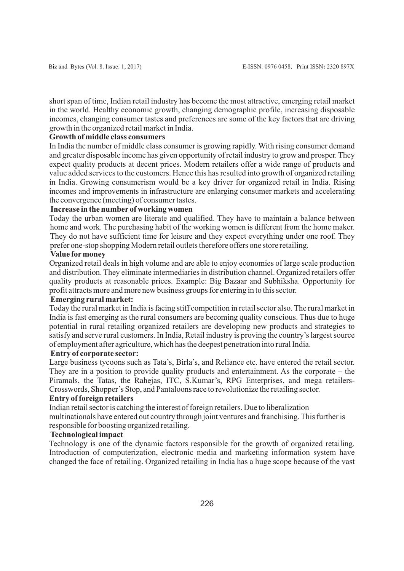short span of time, Indian retail industry has become the most attractive, emerging retail market in the world. Healthy economic growth, changing demographic profile, increasing disposable incomes, changing consumer tastes and preferences are some of the key factors that are driving growth in the organized retail market in India.

## **Growth of middle class consumers**

In India the number of middle class consumer is growing rapidly. With rising consumer demand and greater disposable income has given opportunity of retail industry to grow and prosper. They expect quality products at decent prices. Modern retailers offer a wide range of products and value added services to the customers. Hence this has resulted into growth of organized retailing in India. Growing consumerism would be a key driver for organized retail in India. Rising incomes and improvements in infrastructure are enlarging consumer markets and accelerating the convergence (meeting) of consumer tastes.

## **Increase in the number of working women**

Today the urban women are literate and qualified. They have to maintain a balance between home and work. The purchasing habit of the working women is different from the home maker. They do not have sufficient time for leisure and they expect everything under one roof. They prefer one-stop shopping Modern retail outlets therefore offers one store retailing.

#### **Value formoney**

Organized retail deals in high volume and are able to enjoy economies of large scale production and distribution. They eliminate intermediaries in distribution channel. Organized retailers offer quality products at reasonable prices. Example: Big Bazaar and Subhiksha. Opportunity for profit attracts more and more new business groups for entering in to this sector.

## **Emerging rural market:**

Today the rural market in India is facing stiff competition in retail sector also. The rural market in India is fast emerging as the rural consumers are becoming quality conscious. Thus due to huge potential in rural retailing organized retailers are developing new products and strategies to satisfy and serve rural customers. In India, Retail industry is proving the country's largest source of employment after agriculture, which has the deepest penetration into rural India.

## **Entry of corporate sector:**

Large business tycoons such as Tata's, Birla's, and Reliance etc. have entered the retail sector. They are in a position to provide quality products and entertainment. As the corporate – the Piramals, the Tatas, the Rahejas, ITC, S.Kumar's, RPG Enterprises, and mega retailers-Crosswords, Shopper's Stop, and Pantaloons race to revolutionize the retailing sector.

## **Entry of foreign retailers**

Indian retail sector is catching the interest of foreign retailers. Due to liberalization multinationals have entered out country through joint ventures and franchising. This further is responsible for boosting organized retailing.

### **Technological impact**

Technology is one of the dynamic factors responsible for the growth of organized retailing. Introduction of computerization, electronic media and marketing information system have changed the face of retailing. Organized retailing in India has a huge scope because of the vast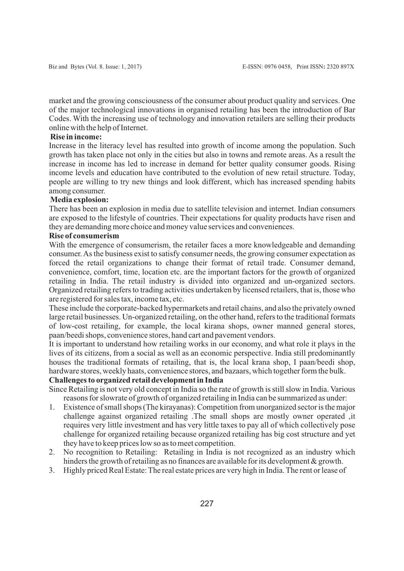market and the growing consciousness of the consumer about product quality and services. One of the major technological innovations in organised retailing has been the introduction of Bar Codes. With the increasing use of technology and innovation retailers are selling their products online with the help of Internet.

## **Rise in income:**

Increase in the literacy level has resulted into growth of income among the population. Such growth has taken place not only in the cities but also in towns and remote areas. As a result the increase in income has led to increase in demand for better quality consumer goods. Rising income levels and education have contributed to the evolution of new retail structure. Today, people are willing to try new things and look different, which has increased spending habits among consumer.

#### **Media explosion:**

There has been an explosion in media due to satellite television and internet. Indian consumers are exposed to the lifestyle of countries. Their expectations for quality products have risen and they are demanding more choice and money value services and conveniences.

## **Rise of consumerism**

With the emergence of consumerism, the retailer faces a more knowledgeable and demanding consumer. As the business exist to satisfy consumer needs, the growing consumer expectation as forced the retail organizations to change their format of retail trade. Consumer demand, convenience, comfort, time, location etc. are the important factors for the growth of organized retailing in India. The retail industry is divided into organized and un-organized sectors. Organized retailing refers to trading activities undertaken by licensed retailers, that is, those who are registered for sales tax, income tax, etc.

These include the corporate-backed hypermarkets and retail chains, and also the privately owned large retail businesses. Un-organized retailing, on the other hand, refers to the traditional formats of low-cost retailing, for example, the local kirana shops, owner manned general stores, paan/beedi shops, convenience stores, hand cart and pavement vendors.

It is important to understand how retailing works in our economy, and what role it plays in the lives of its citizens, from a social as well as an economic perspective. India still predominantly houses the traditional formats of retailing, that is, the local krana shop, I paan/beedi shop, hardware stores, weekly haats, convenience stores, and bazaars, which together form the bulk.

## **Challenges to organized retail development in India**

Since Retailing is not very old concept in India so the rate of growth is still slow in India. Various reasons for slowrate of growth of organized retailing in India can be summarized as under:

- 1. Existence of small shops (The kirayanas): Competition from unorganized sector is the major challenge against organized retailing .The small shops are mostly owner operated ,it requires very little investment and has very little taxes to pay all of which collectively pose challenge for organized retailing because organized retailing has big cost structure and yet they have to keep prices low so as to meet competition.
- 2. No recognition to Retailing: Retailing in India is not recognized as an industry which hinders the growth of retailing as no finances are available for its development & growth.
- 3. Highly priced Real Estate: The real estate prices are very high in India. The rent or lease of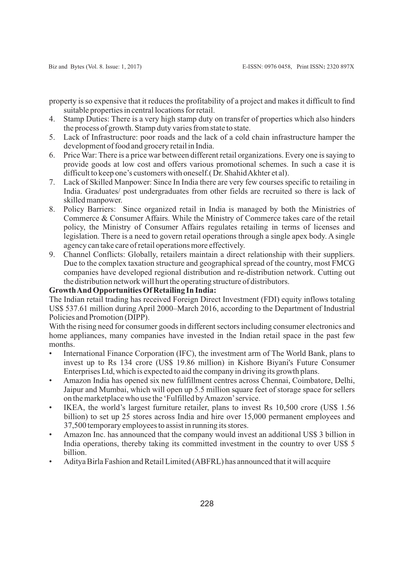property is so expensive that it reduces the profitability of a project and makes it difficult to find suitable properties in central locations for retail.

- 4. Stamp Duties: There is a very high stamp duty on transfer of properties which also hinders the process of growth. Stamp duty varies from state to state.
- 5. Lack of Infrastructure: poor roads and the lack of a cold chain infrastructure hamper the development of food and grocery retail in India.
- 6. Price War: There is a price war between different retail organizations. Every one is saying to provide goods at low cost and offers various promotional schemes. In such a case it is difficult to keep one's customers with oneself.( Dr. Shahid Akhter et al).
- 7. Lack of Skilled Manpower: Since In India there are very few courses specific to retailing in India. Graduates/ post undergraduates from other fields are recruited so there is lack of skilled manpower.
- 8. Policy Barriers: Since organized retail in India is managed by both the Ministries of Commerce & Consumer Affairs. While the Ministry of Commerce takes care of the retail policy, the Ministry of Consumer Affairs regulates retailing in terms of licenses and legislation. There is a need to govern retail operations through a single apex body. A single agency can take care of retail operations more effectively.
- 9. Channel Conflicts: Globally, retailers maintain a direct relationship with their suppliers. Due to the complex taxation structure and geographical spread of the country, most FMCG companies have developed regional distribution and re-distribution network. Cutting out the distribution network will hurt the operating structure of distributors.

## **Growth And Opportunities Of Retailing In India:**

The Indian retail trading has received Foreign Direct Investment (FDI) equity inflows totaling US\$ 537.61 million during April 2000–March 2016, according to the Department of Industrial Policies and Promotion (DIPP).

With the rising need for consumer goods in different sectors including consumer electronics and home appliances, many companies have invested in the Indian retail space in the past few months.

- International Finance Corporation (IFC), the investment arm of The World Bank, plans to invest up to Rs 134 crore (US\$ 19.86 million) in Kishore Biyani's Future Consumer Enterprises Ltd, which is expected to aid the company in driving its growth plans.
- Amazon India has opened six new fulfillment centres across Chennai, Coimbatore, Delhi, Jaipur and Mumbai, which will open up 5.5 million square feet of storage space for sellers on the marketplace who use the 'Fulfilled by Amazon'service.
- IKEA, the world's largest furniture retailer, plans to invest Rs 10,500 crore (US\$ 1.56 billion) to set up 25 stores across India and hire over 15,000 permanent employees and 37,500 temporary employees to assist in running its stores.
- Amazon Inc. has announced that the company would invest an additional US\$ 3 billion in India operations, thereby taking its committed investment in the country to over US\$ 5 billion.
- Aditya Birla Fashion and Retail Limited (ABFRL) has announced that it will acquire